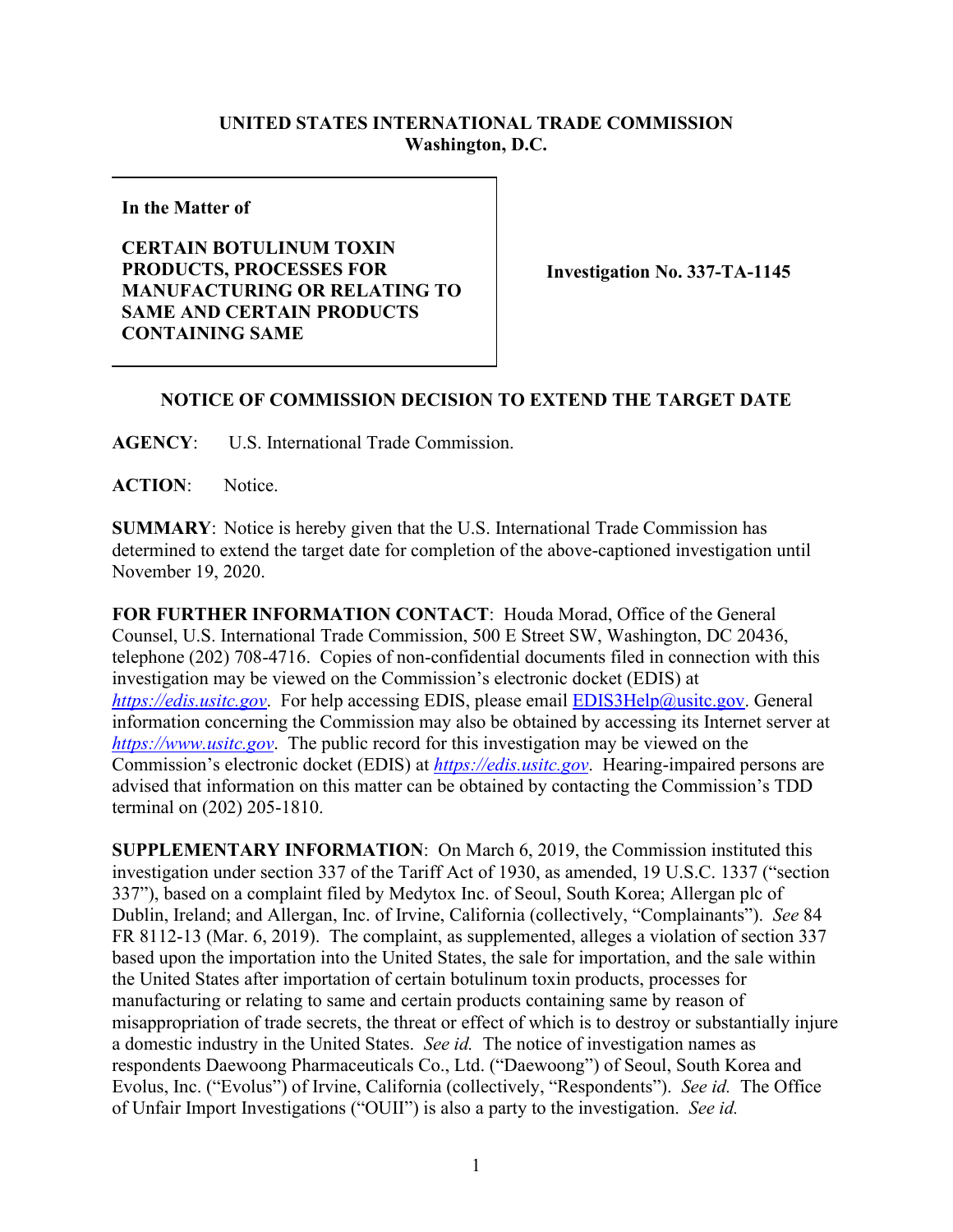## **UNITED STATES INTERNATIONAL TRADE COMMISSION Washington, D.C.**

**In the Matter of**

## **CERTAIN BOTULINUM TOXIN PRODUCTS, PROCESSES FOR MANUFACTURING OR RELATING TO SAME AND CERTAIN PRODUCTS CONTAINING SAME**

**Investigation No. 337-TA-1145**

## **NOTICE OF COMMISSION DECISION TO EXTEND THE TARGET DATE**

**AGENCY**: U.S. International Trade Commission.

ACTION: Notice.

**SUMMARY**: Notice is hereby given that the U.S. International Trade Commission has determined to extend the target date for completion of the above-captioned investigation until November 19, 2020.

**FOR FURTHER INFORMATION CONTACT**: Houda Morad, Office of the General Counsel, U.S. International Trade Commission, 500 E Street SW, Washington, DC 20436, telephone (202) 708-4716. Copies of non-confidential documents filed in connection with this investigation may be viewed on the Commission's electronic docket (EDIS) at *[https://edis.usitc.gov](https://edis.usitc.gov/)*. For help accessing EDIS, please email [EDIS3Help@usitc.gov.](mailto:EDIS3Help@usitc.gov) General information concerning the Commission may also be obtained by accessing its Internet server at *[https://www.usitc.gov](https://www.usitc.gov/)*. The public record for this investigation may be viewed on the Commission's electronic docket (EDIS) at *[https://edis.usitc.gov](https://edis.usitc.gov/)*. Hearing-impaired persons are advised that information on this matter can be obtained by contacting the Commission's TDD terminal on (202) 205-1810.

**SUPPLEMENTARY INFORMATION**: On March 6, 2019, the Commission instituted this investigation under section 337 of the Tariff Act of 1930, as amended, 19 U.S.C. 1337 ("section 337"), based on a complaint filed by Medytox Inc. of Seoul, South Korea; Allergan plc of Dublin, Ireland; and Allergan, Inc. of Irvine, California (collectively, "Complainants"). *See* 84 FR 8112-13 (Mar. 6, 2019). The complaint, as supplemented, alleges a violation of section 337 based upon the importation into the United States, the sale for importation, and the sale within the United States after importation of certain botulinum toxin products, processes for manufacturing or relating to same and certain products containing same by reason of misappropriation of trade secrets, the threat or effect of which is to destroy or substantially injure a domestic industry in the United States. *See id.* The notice of investigation names as respondents Daewoong Pharmaceuticals Co., Ltd. ("Daewoong") of Seoul, South Korea and Evolus, Inc. ("Evolus") of Irvine, California (collectively, "Respondents"). *See id.* The Office of Unfair Import Investigations ("OUII") is also a party to the investigation. *See id.*